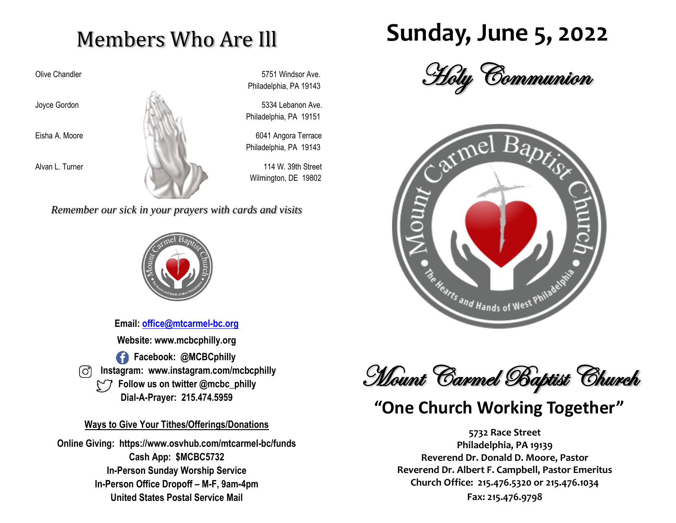## Members Who Are Ill



Olive Chandler 6751 Windsor Ave. Philadelphia, PA 19143

Philadelphia, PA 19151

Philadelphia, PA 19143

Wilmington, DE 19802

*Remember our sick in your prayers with cards and visits*



**Email: [office@mtcarmel-bc.org](mailto:office@mtcarmel-bc.org) Website: www.mcbcphilly.org f** Facebook: @MCBCphilly  **Instagram: www.instagram.com/mcbcphilly Follow us on twitter @mcbc\_philly Dial-A-Prayer: 215.474.5959**

#### **Ways to Give Your Tithes/Offerings/Donations**

**Online Giving: https://www.osvhub.com/mtcarmel-bc/funds Cash App: \$MCBC5732 In-Person Sunday Worship Service In-Person Office Dropoff – M-F, 9am-4pm United States Postal Service Mail**

# **Sunday, June 5, 2022**





Mount Carmel Baptist Church

## **"One Church Working Together"**

**5732 Race Street Philadelphia, PA 19139 Reverend Dr. Donald D. Moore, Pastor Reverend Dr. Albert F. Campbell, Pastor Emeritus Church Office: 215.476.5320 or 215.476.1034 Fax: 215.476.9798**